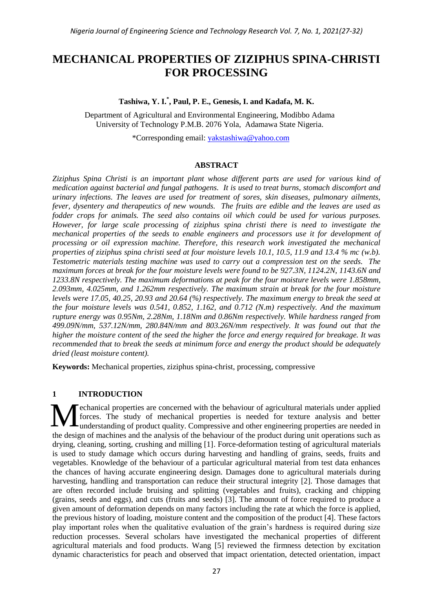# **MECHANICAL PROPERTIES OF ZIZIPHUS SPINA-CHRISTI FOR PROCESSING**

## **Tashiwa, Y. I.\* , Paul, P. E., Genesis, I. and Kadafa, M. K.**

Department of Agricultural and Environmental Engineering, Modibbo Adama University of Technology P.M.B. 2076 Yola, Adamawa State Nigeria.

\*Corresponding email: [yakstashiwa@yahoo.com](mailto:yakstashiwa@yahoo.com)

#### **ABSTRACT**

*Ziziphus Spina Christi is an important plant whose different parts are used for various kind of medication against bacterial and fungal pathogens. It is used to treat burns, stomach discomfort and urinary infections. The leaves are used for treatment of sores, skin diseases, pulmonary ailments, fever, dysentery and therapeutics of new wounds. The fruits are edible and the leaves are used as fodder crops for animals. The seed also contains oil which could be used for various purposes. However, for large scale processing of ziziphus spina christi there is need to investigate the mechanical properties of the seeds to enable engineers and processors use it for development of processing or oil expression machine. Therefore, this research work investigated the mechanical properties of ziziphus spina christi seed at four moisture levels 10.1, 10.5, 11.9 and 13.4 % mc (w.b). Testometric materials testing machine was used to carry out a compression test on the seeds. The maximum forces at break for the four moisture levels were found to be 927.3N, 1124.2N, 1143.6N and 1233.8N respectively. The maximum deformations at peak for the four moisture levels were 1.858mm, 2.093mm, 4.025mm, and 1.262mm respectively. The maximum strain at break for the four moisture levels were 17.05, 40.25, 20.93 and 20.64 (%) respectively. The maximum energy to break the seed at the four moisture levels was 0.541, 0.852, 1.162, and 0.712 (N.m) respectively. And the maximum rupture energy was 0.95Nm, 2.28Nm, 1.18Nm and 0.86Nm respectively. While hardness ranged from 499.09N/mm, 537.12N/mm, 280.84N/mm and 803.26N/mm respectively. It was found out that the higher the moisture content of the seed the higher the force and energy required for breakage. It was recommended that to break the seeds at minimum force and energy the product should be adequately dried (least moisture content).*

**Keywords:** Mechanical properties, ziziphus spina-christ, processing, compressive

# **1 INTRODUCTION**

echanical properties are concerned with the behaviour of agricultural materials under applied forces. The study of mechanical properties is needed for texture analysis and better understanding of product quality. Compressive and other engineering properties are needed in the design of machines and the analysis of the behaviour of the product during unit operations such as drying, cleaning, sorting, crushing and milling [1]. Force-deformation testing of agricultural materials is used to study damage which occurs during harvesting and handling of grains, seeds, fruits and vegetables. Knowledge of the behaviour of a particular agricultural material from test data enhances the chances of having accurate engineering design. Damages done to agricultural materials during harvesting, handling and transportation can reduce their structural integrity [2]. Those damages that are often recorded include bruising and splitting (vegetables and fruits), cracking and chipping (grains, seeds and eggs), and cuts (fruits and seeds) [3]. The amount of force required to produce a given amount of deformation depends on many factors including the rate at which the force is applied, the previous history of loading, moisture content and the composition of the product [4]. These factors play important roles when the qualitative evaluation of the grain's hardness is required during size reduction processes. Several scholars have investigated the mechanical properties of different agricultural materials and food products. Wang [5] reviewed the firmness detection by excitation dynamic characteristics for peach and observed that impact orientation, detected orientation, impact M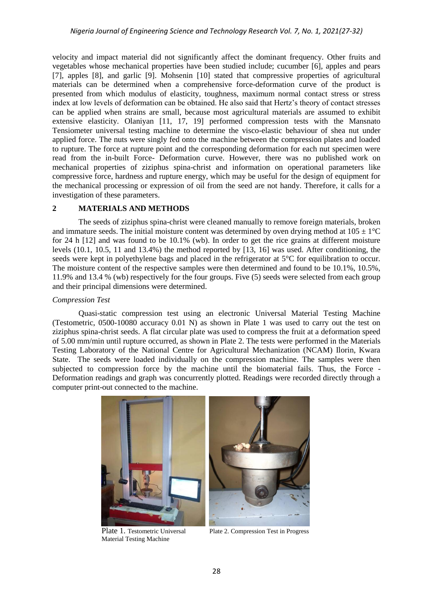velocity and impact material did not significantly affect the dominant frequency. Other fruits and vegetables whose mechanical properties have been studied include; cucumber [6], apples and pears [7], apples [8], and garlic [9]. Mohsenin [10] stated that compressive properties of agricultural materials can be determined when a comprehensive force-deformation curve of the product is presented from which modulus of elasticity, toughness, maximum normal contact stress or stress index at low levels of deformation can be obtained. He also said that Hertz's theory of contact stresses can be applied when strains are small, because most agricultural materials are assumed to exhibit extensive elasticity. Olaniyan [11, 17, 19] performed compression tests with the Mansnato Tensiometer universal testing machine to determine the visco-elastic behaviour of shea nut under applied force. The nuts were singly fed onto the machine between the compression plates and loaded to rupture. The force at rupture point and the corresponding deformation for each nut specimen were read from the in-built Force- Deformation curve. However, there was no published work on mechanical properties of ziziphus spina-christ and information on operational parameters like compressive force, hardness and rupture energy, which may be useful for the design of equipment for the mechanical processing or expression of oil from the seed are not handy. Therefore, it calls for a investigation of these parameters.

#### **2 MATERIALS AND METHODS**

The seeds of ziziphus spina-christ were cleaned manually to remove foreign materials, broken and immature seeds. The initial moisture content was determined by oven drying method at  $105 \pm 1^{\circ}$ C for 24 h [12] and was found to be 10.1% (wb). In order to get the rice grains at different moisture levels (10.1, 10.5, 11 and 13.4%) the method reported by [13, 16] was used. After conditioning, the seeds were kept in polyethylene bags and placed in the refrigerator at 5°C for equilibration to occur. The moisture content of the respective samples were then determined and found to be 10.1%, 10.5%, 11.9% and 13.4 % (wb) respectively for the four groups. Five (5) seeds were selected from each group and their principal dimensions were determined.

#### *Compression Test*

Quasi-static compression test using an electronic Universal Material Testing Machine (Testometric, 0500-10080 accuracy 0.01 N) as shown in Plate 1 was used to carry out the test on ziziphus spina-christ seeds. A flat circular plate was used to compress the fruit at a deformation speed of 5.00 mm/min until rupture occurred, as shown in Plate 2. The tests were performed in the Materials Testing Laboratory of the National Centre for Agricultural Mechanization (NCAM) Ilorin, Kwara State. The seeds were loaded individually on the compression machine. The samples were then subjected to compression force by the machine until the biomaterial fails. Thus, the Force - Deformation readings and graph was concurrently plotted. Readings were recorded directly through a computer print-out connected to the machine.



Material Testing Machine

Plate 1. Testometric Universal Plate 2. Compression Test in Progress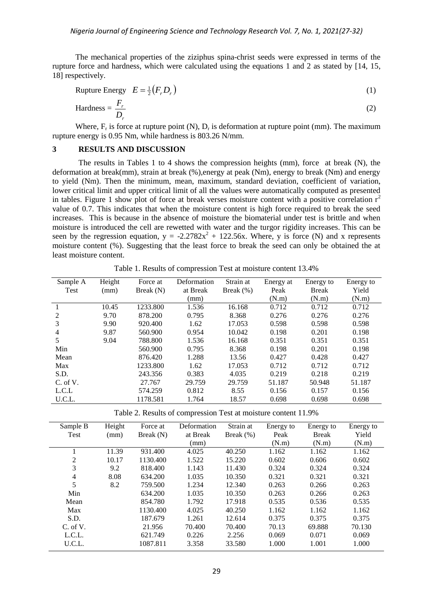The mechanical properties of the ziziphus spina-christ seeds were expressed in terms of the rupture force and hardness, which were calculated using the equations 1 and 2 as stated by [14, 15, 18] respectively.

$$
Rupture Energy \tE = \frac{1}{2}(F_r D_r)
$$
 (1)

$$
\text{Hardness} = \frac{F_r}{D_r} \tag{2}
$$

Where,  $F_r$  is force at rupture point (N),  $D_r$  is deformation at rupture point (mm). The maximum rupture energy is 0.95 Nm, while hardness is 803.26 N/mm.

### **3 RESULTS AND DISCUSSION**

The results in Tables 1 to 4 shows the compression heights (mm), force at break (N), the deformation at break(mm), strain at break (%),energy at peak (Nm), energy to break (Nm) and energy to yield (Nm). Then the minimum, mean, maximum, standard deviation, coefficient of variation, lower critical limit and upper critical limit of all the values were automatically computed as presented in tables. Figure 1 show plot of force at break verses moisture content with a positive correlation  $r^2$ value of 0.7. This indicates that when the moisture content is high force required to break the seed increases. This is because in the absence of moisture the biomaterial under test is brittle and when moisture is introduced the cell are rewetted with water and the turgor rigidity increases. This can be seen by the regression equation,  $y = -2.2782x^2 + 122.56x$ . Where, y is force (N) and x represents moisture content (%). Suggesting that the least force to break the seed can only be obtained the at least moisture content.

Table 1. Results of compression Test at moisture content 13.4%

| Sample A       | Height | Force at  | Deformation | Strain at    | Energy at | Energy to    | Energy to |
|----------------|--------|-----------|-------------|--------------|-----------|--------------|-----------|
| Test           | (mm)   | Break (N) | at Break    | Break $(\%)$ | Peak      | <b>Break</b> | Yield     |
|                |        |           | (mm)        |              | (N.m)     | (N.m)        | (N.m)     |
|                | 10.45  | 1233.800  | 1.536       | 16.168       | 0.712     | 0.712        | 0.712     |
| $\mathfrak{D}$ | 9.70   | 878.200   | 0.795       | 8.368        | 0.276     | 0.276        | 0.276     |
| 3              | 9.90   | 920.400   | 1.62        | 17.053       | 0.598     | 0.598        | 0.598     |
| 4              | 9.87   | 560.900   | 0.954       | 10.042       | 0.198     | 0.201        | 0.198     |
| 5              | 9.04   | 788.800   | 1.536       | 16.168       | 0.351     | 0.351        | 0.351     |
| Min            |        | 560.900   | 0.795       | 8.368        | 0.198     | 0.201        | 0.198     |
| Mean           |        | 876.420   | 1.288       | 13.56        | 0.427     | 0.428        | 0.427     |
| Max            |        | 1233.800  | 1.62        | 17.053       | 0.712     | 0.712        | 0.712     |
| S.D.           |        | 243.356   | 0.383       | 4.035        | 0.219     | 0.218        | 0.219     |
| C. of V.       |        | 27.767    | 29.759      | 29.759       | 51.187    | 50.948       | 51.187    |
| L.C.L          |        | 574.259   | 0.812       | 8.55         | 0.156     | 0.157        | 0.156     |
| U.C.L.         |        | 1178.581  | 1.764       | 18.57        | 0.698     | 0.698        | 0.698     |

Table 2. Results of compression Test at moisture content 11.9%

| Sample B | Height | Force at    | Deformation | Strain at    | Energy to | Energy to    | Energy to |
|----------|--------|-------------|-------------|--------------|-----------|--------------|-----------|
| Test     | (mm)   | Break $(N)$ | at Break    | Break $(\%)$ | Peak      | <b>Break</b> | Yield     |
|          |        |             | (mm)        |              | (N.m)     | (N.m)        | (N.m)     |
|          | 11.39  | 931.400     | 4.025       | 40.250       | 1.162     | 1.162        | 1.162     |
| 2        | 10.17  | 1130.400    | 1.522       | 15.220       | 0.602     | 0.606        | 0.602     |
| 3        | 9.2    | 818.400     | 1.143       | 11.430       | 0.324     | 0.324        | 0.324     |
| 4        | 8.08   | 634.200     | 1.035       | 10.350       | 0.321     | 0.321        | 0.321     |
| 5        | 8.2    | 759.500     | 1.234       | 12.340       | 0.263     | 0.266        | 0.263     |
| Min      |        | 634.200     | 1.035       | 10.350       | 0.263     | 0.266        | 0.263     |
| Mean     |        | 854.780     | 1.792       | 17.918       | 0.535     | 0.536        | 0.535     |
| Max      |        | 1130.400    | 4.025       | 40.250       | 1.162     | 1.162        | 1.162     |
| S.D.     |        | 187.679     | 1.261       | 12.614       | 0.375     | 0.375        | 0.375     |
| C. of V. |        | 21.956      | 70.400      | 70.400       | 70.13     | 69.888       | 70.130    |
| L.C.L.   |        | 621.749     | 0.226       | 2.256        | 0.069     | 0.071        | 0.069     |
| U.C.L.   |        | 1087.811    | 3.358       | 33.580       | 1.000     | 1.001        | 1.000     |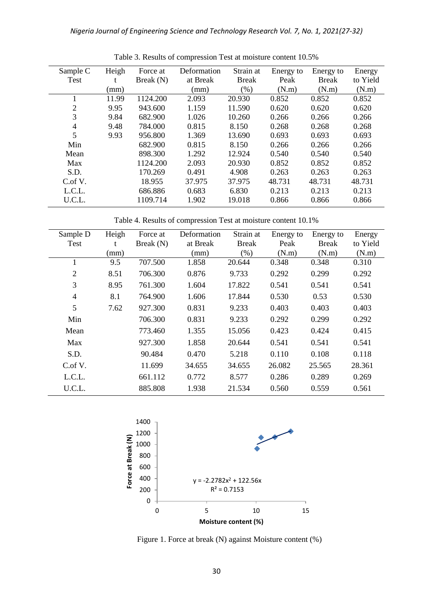| Sample C       | Heigh | Force at    | Deformation | Strain at    | Energy to | Energy to    | Energy   |
|----------------|-------|-------------|-------------|--------------|-----------|--------------|----------|
| <b>Test</b>    | t     | Break $(N)$ | at Break    | <b>Break</b> | Peak      | <b>Break</b> | to Yield |
|                | (mm)  |             | (mm)        | (% )         | (N.m)     | (N.m)        | (N.m)    |
|                | 11.99 | 1124.200    | 2.093       | 20.930       | 0.852     | 0.852        | 0.852    |
| $\overline{2}$ | 9.95  | 943.600     | 1.159       | 11.590       | 0.620     | 0.620        | 0.620    |
| 3              | 9.84  | 682.900     | 1.026       | 10.260       | 0.266     | 0.266        | 0.266    |
| $\overline{4}$ | 9.48  | 784.000     | 0.815       | 8.150        | 0.268     | 0.268        | 0.268    |
| 5              | 9.93  | 956.800     | 1.369       | 13.690       | 0.693     | 0.693        | 0.693    |
| Min            |       | 682.900     | 0.815       | 8.150        | 0.266     | 0.266        | 0.266    |
| Mean           |       | 898.300     | 1.292       | 12.924       | 0.540     | 0.540        | 0.540    |
| Max            |       | 1124.200    | 2.093       | 20.930       | 0.852     | 0.852        | 0.852    |
| S.D.           |       | 170.269     | 0.491       | 4.908        | 0.263     | 0.263        | 0.263    |
| $C$ of $V$ .   |       | 18.955      | 37.975      | 37.975       | 48.731    | 48.731       | 48.731   |
| L.C.L.         |       | 686.886     | 0.683       | 6.830        | 0.213     | 0.213        | 0.213    |
| U.C.L.         |       | 1109.714    | 1.902       | 19.018       | 0.866     | 0.866        | 0.866    |

Table 3. Results of compression Test at moisture content 10.5%

Table 4. Results of compression Test at moisture content 10.1%

| Sample D       | Heigh | Force at    | Deformation | Strain at    | Energy to | Energy to    | Energy   |
|----------------|-------|-------------|-------------|--------------|-----------|--------------|----------|
| Test           | t     | Break $(N)$ | at Break    | <b>Break</b> | Peak      | <b>Break</b> | to Yield |
|                | (mm)  |             | (mm)        | $(\% )$      | (N.m)     | (N.m)        | (N.m)    |
|                | 9.5   | 707.500     | 1.858       | 20.644       | 0.348     | 0.348        | 0.310    |
| $\overline{2}$ | 8.51  | 706.300     | 0.876       | 9.733        | 0.292     | 0.299        | 0.292    |
| 3              | 8.95  | 761.300     | 1.604       | 17.822       | 0.541     | 0.541        | 0.541    |
| $\overline{4}$ | 8.1   | 764.900     | 1.606       | 17.844       | 0.530     | 0.53         | 0.530    |
| 5              | 7.62  | 927.300     | 0.831       | 9.233        | 0.403     | 0.403        | 0.403    |
| Min            |       | 706.300     | 0.831       | 9.233        | 0.292     | 0.299        | 0.292    |
| Mean           |       | 773.460     | 1.355       | 15.056       | 0.423     | 0.424        | 0.415    |
| Max            |       | 927.300     | 1.858       | 20.644       | 0.541     | 0.541        | 0.541    |
| S.D.           |       | 90.484      | 0.470       | 5.218        | 0.110     | 0.108        | 0.118    |
| C.of V.        |       | 11.699      | 34.655      | 34.655       | 26.082    | 25.565       | 28.361   |
| L.C.L.         |       | 661.112     | 0.772       | 8.577        | 0.286     | 0.289        | 0.269    |
| U.C.L.         |       | 885.808     | 1.938       | 21.534       | 0.560     | 0.559        | 0.561    |



Figure 1. Force at break (N) against Moisture content (%)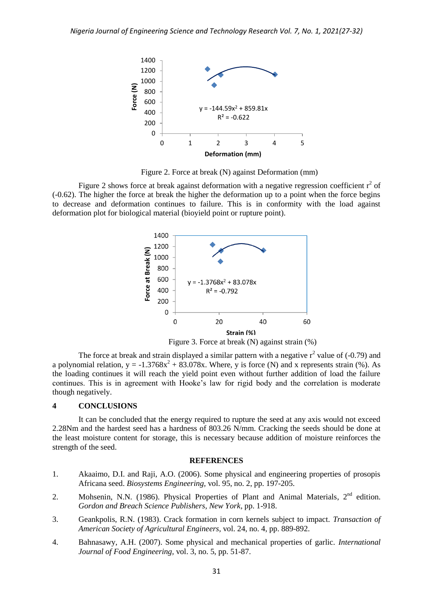

Figure 2. Force at break (N) against Deformation (mm)

Figure 2 shows force at break against deformation with a negative regression coefficient  $r^2$  of (-0.62). The higher the force at break the higher the deformation up to a point when the force begins to decrease and deformation continues to failure. This is in conformity with the load against deformation plot for biological material (bioyield point or rupture point).



The force at break and strain displayed a similar pattern with a negative  $r^2$  value of (-0.79) and a polynomial relation,  $y = -1.3768x^2 + 83.078x$ . Where, y is force (N) and x represents strain (%). As the loading continues it will reach the yield point even without further addition of load the failure continues. This is in agreement with Hooke's law for rigid body and the correlation is moderate though negatively.

#### **4 CONCLUSIONS**

It can be concluded that the energy required to rupture the seed at any axis would not exceed 2.28Nm and the hardest seed has a hardness of 803.26 N/mm. Cracking the seeds should be done at the least moisture content for storage, this is necessary because addition of moisture reinforces the strength of the seed.

#### **REFERENCES**

- 1. Akaaimo, D.I. and Raji, A.O. (2006). Some physical and engineering properties of prosopis Africana seed. *Biosystems Engineering,* vol. 95, no. 2, pp. 197-205.
- 2. Mohsenin, N.N. (1986). Physical Properties of Plant and Animal Materials,  $2<sup>nd</sup>$  edition. *Gordon and Breach Science Publishers, New York*, pp. 1-918.
- 3. Geankpolis, R.N. (1983). Crack formation in corn kernels subject to impact. *Transaction of American Society of Agricultural Engineers,* vol. 24, no. 4, pp. 889-892.
- 4. Bahnasawy, A.H. (2007). Some physical and mechanical properties of garlic. *International Journal of Food Engineering,* vol. 3, no. 5, pp. 51-87.